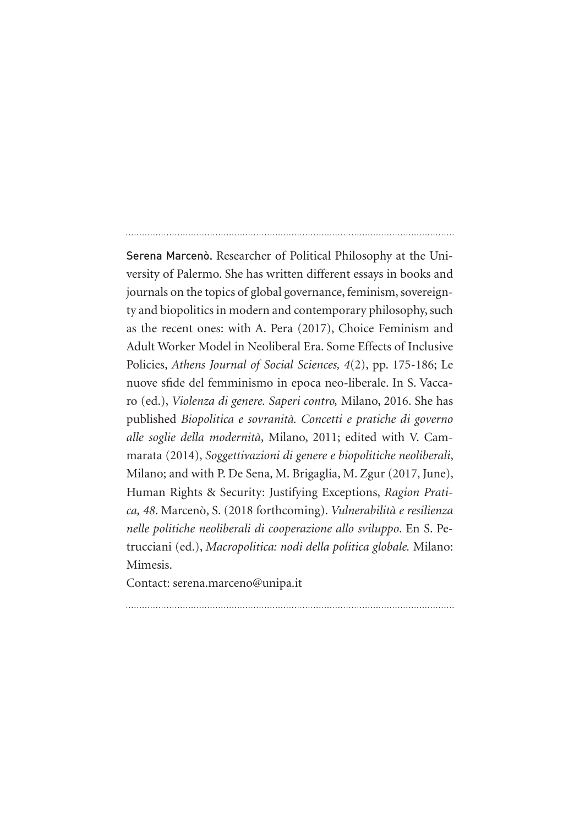Serena Marcenò. Researcher of Political Philosophy at the University of Palermo. She has written different essays in books and journals on the topics of global governance, feminism, sovereignty and biopolitics in modern and contemporary philosophy, such as the recent ones: with A. Pera (2017), Choice Feminism and Adult Worker Model in Neoliberal Era. Some Effects of Inclusive Policies, *Athens Journal of Social Sciences, 4*(2), pp. 175-186; Le nuove sfide del femminismo in epoca neo-liberale. In S. Vaccaro (ed.), *Violenza di genere. Saperi contro,* Milano, 2016. She has published *Biopolitica e sovranità. Concetti e pratiche di governo alle soglie della modernità*, Milano, 2011; edited with V. Cammarata (2014), *Soggettivazioni di genere e biopolitiche neoliberali*, Milano; and with P. De Sena, M. Brigaglia, M. Zgur (2017, June), Human Rights & Security: Justifying Exceptions, *Ragion Pratica, 48*. Marcenò, S. (2018 forthcoming). *Vulnerabilità e resilienza nelle politiche neoliberali di cooperazione allo sviluppo*. En S. Petrucciani (ed.), *Macropolitica: nodi della politica globale.* Milano: Mimesis.

Contact: serena.marceno@unipa.it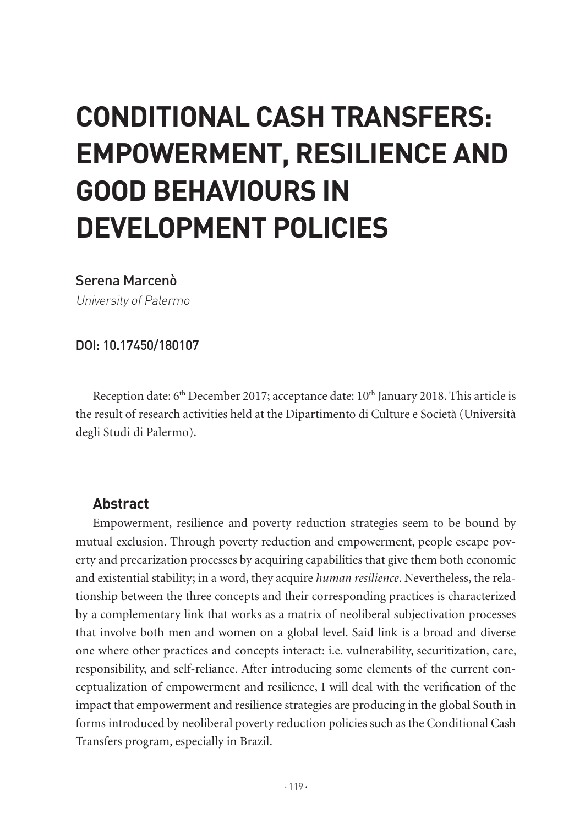# **CONDITIONAL CASH TRANSFERS: EMPOWERMENT, RESILIENCE AND GOOD BEHAVIOURS IN DEVELOPMENT POLICIES**

## Serena Marcenò

University of Palermo

DOI: 10.17450/180107

Reception date:  $6<sup>th</sup>$  December 2017; acceptance date:  $10<sup>th</sup>$  January 2018. This article is the result of research activities held at the Dipartimento di Culture e Società (Università degli Studi di Palermo).

# **Abstract**

Empowerment, resilience and poverty reduction strategies seem to be bound by mutual exclusion. Through poverty reduction and empowerment, people escape poverty and precarization processes by acquiring capabilities that give them both economic and existential stability; in a word, they acquire *human resilience*. Nevertheless, the relationship between the three concepts and their corresponding practices is characterized by a complementary link that works as a matrix of neoliberal subjectivation processes that involve both men and women on a global level. Said link is a broad and diverse one where other practices and concepts interact: i.e. vulnerability, securitization, care, responsibility, and self-reliance. After introducing some elements of the current conceptualization of empowerment and resilience, I will deal with the verification of the impact that empowerment and resilience strategies are producing in the global South in forms introduced by neoliberal poverty reduction policies such as the Conditional Cash Transfers program, especially in Brazil.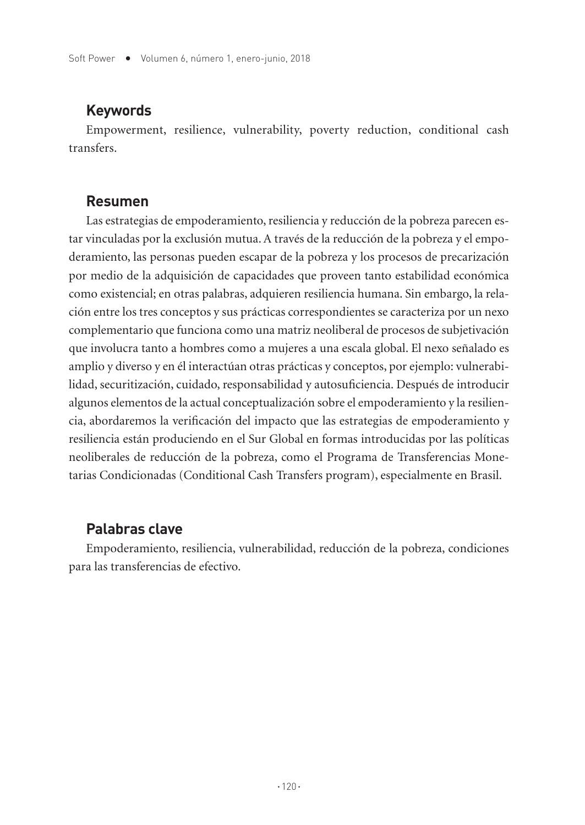## **Keywords**

Empowerment, resilience, vulnerability, poverty reduction, conditional cash transfers.

## **Resumen**

Las estrategias de empoderamiento, resiliencia y reducción de la pobreza parecen estar vinculadas por la exclusión mutua. A través de la reducción de la pobreza y el empoderamiento, las personas pueden escapar de la pobreza y los procesos de precarización por medio de la adquisición de capacidades que proveen tanto estabilidad económica como existencial; en otras palabras, adquieren resiliencia humana. Sin embargo, la relación entre los tres conceptos y sus prácticas correspondientes se caracteriza por un nexo complementario que funciona como una matriz neoliberal de procesos de subjetivación que involucra tanto a hombres como a mujeres a una escala global. El nexo señalado es amplio y diverso y en él interactúan otras prácticas y conceptos, por ejemplo: vulnerabilidad, securitización, cuidado, responsabilidad y autosuficiencia. Después de introducir algunos elementos de la actual conceptualización sobre el empoderamiento y la resiliencia, abordaremos la verificación del impacto que las estrategias de empoderamiento y resiliencia están produciendo en el Sur Global en formas introducidas por las políticas neoliberales de reducción de la pobreza, como el Programa de Transferencias Monetarias Condicionadas (Conditional Cash Transfers program), especialmente en Brasil.

# **Palabras clave**

Empoderamiento, resiliencia, vulnerabilidad, reducción de la pobreza, condiciones para las transferencias de efectivo.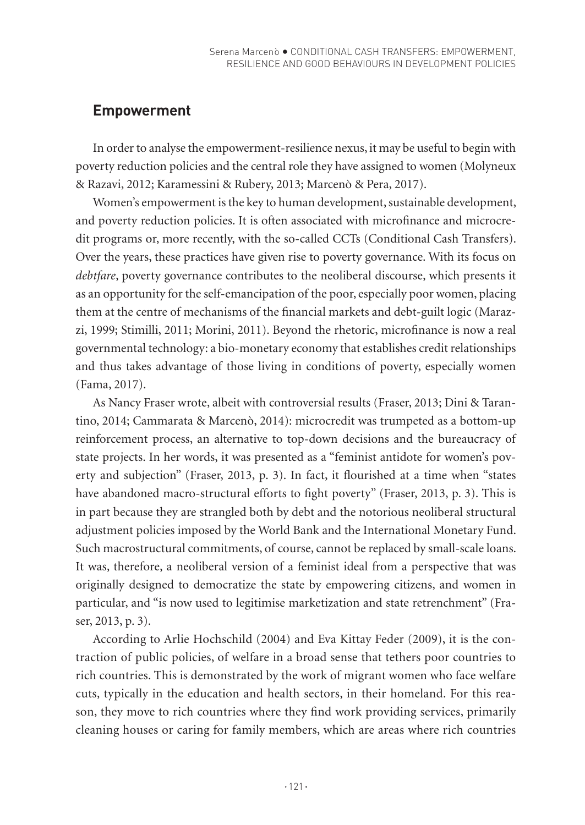# **Empowerment**

In order to analyse the empowerment-resilience nexus, it may be useful to begin with poverty reduction policies and the central role they have assigned to women (Molyneux & Razavi, 2012; Karamessini & Rubery, 2013; Marcenò & Pera, 2017).

Women's empowerment is the key to human development, sustainable development, and poverty reduction policies. It is often associated with microfinance and microcredit programs or, more recently, with the so-called CCTs (Conditional Cash Transfers). Over the years, these practices have given rise to poverty governance. With its focus on *debtfare*, poverty governance contributes to the neoliberal discourse, which presents it as an opportunity for the self-emancipation of the poor, especially poor women, placing them at the centre of mechanisms of the financial markets and debt-guilt logic (Marazzi, 1999; Stimilli, 2011; Morini, 2011). Beyond the rhetoric, microfinance is now a real governmental technology: a bio-monetary economy that establishes credit relationships and thus takes advantage of those living in conditions of poverty, especially women (Fama, 2017).

As Nancy Fraser wrote, albeit with controversial results (Fraser, 2013; Dini & Tarantino, 2014; Cammarata & Marcenò, 2014): microcredit was trumpeted as a bottom-up reinforcement process, an alternative to top-down decisions and the bureaucracy of state projects. In her words, it was presented as a "feminist antidote for women's poverty and subjection" (Fraser, 2013, p. 3). In fact, it flourished at a time when "states have abandoned macro-structural efforts to fight poverty" (Fraser, 2013, p. 3). This is in part because they are strangled both by debt and the notorious neoliberal structural adjustment policies imposed by the World Bank and the International Monetary Fund. Such macrostructural commitments, of course, cannot be replaced by small-scale loans. It was, therefore, a neoliberal version of a feminist ideal from a perspective that was originally designed to democratize the state by empowering citizens, and women in particular, and "is now used to legitimise marketization and state retrenchment" (Fraser, 2013, p. 3).

According to Arlie Hochschild (2004) and Eva Kittay Feder (2009), it is the contraction of public policies, of welfare in a broad sense that tethers poor countries to rich countries. This is demonstrated by the work of migrant women who face welfare cuts, typically in the education and health sectors, in their homeland. For this reason, they move to rich countries where they find work providing services, primarily cleaning houses or caring for family members, which are areas where rich countries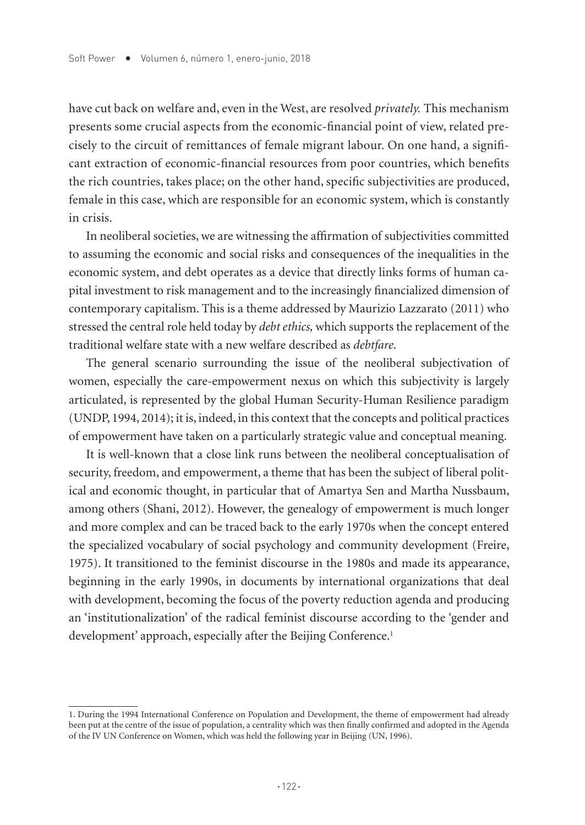have cut back on welfare and, even in the West, are resolved *privately.* This mechanism presents some crucial aspects from the economic-financial point of view, related precisely to the circuit of remittances of female migrant labour. On one hand, a significant extraction of economic-financial resources from poor countries, which benefits the rich countries, takes place; on the other hand, specific subjectivities are produced, female in this case, which are responsible for an economic system, which is constantly in crisis.

In neoliberal societies, we are witnessing the affirmation of subjectivities committed to assuming the economic and social risks and consequences of the inequalities in the economic system, and debt operates as a device that directly links forms of human capital investment to risk management and to the increasingly financialized dimension of contemporary capitalism. This is a theme addressed by Maurizio Lazzarato (2011) who stressed the central role held today by *debt ethics,* which supports the replacement of the traditional welfare state with a new welfare described as *debtfare*.

The general scenario surrounding the issue of the neoliberal subjectivation of women, especially the care-empowerment nexus on which this subjectivity is largely articulated, is represented by the global Human Security-Human Resilience paradigm (UNDP, 1994, 2014); it is, indeed, in this context that the concepts and political practices of empowerment have taken on a particularly strategic value and conceptual meaning.

It is well-known that a close link runs between the neoliberal conceptualisation of security, freedom, and empowerment, a theme that has been the subject of liberal political and economic thought, in particular that of Amartya Sen and Martha Nussbaum, among others (Shani, 2012). However, the genealogy of empowerment is much longer and more complex and can be traced back to the early 1970s when the concept entered the specialized vocabulary of social psychology and community development (Freire, 1975). It transitioned to the feminist discourse in the 1980s and made its appearance, beginning in the early 1990s, in documents by international organizations that deal with development, becoming the focus of the poverty reduction agenda and producing an 'institutionalization' of the radical feminist discourse according to the 'gender and development' approach, especially after the Beijing Conference.<sup>1</sup>

<sup>1.</sup> During the 1994 International Conference on Population and Development, the theme of empowerment had already been put at the centre of the issue of population, a centrality which was then finally confirmed and adopted in the Agenda of the IV UN Conference on Women, which was held the following year in Beijing (UN, 1996).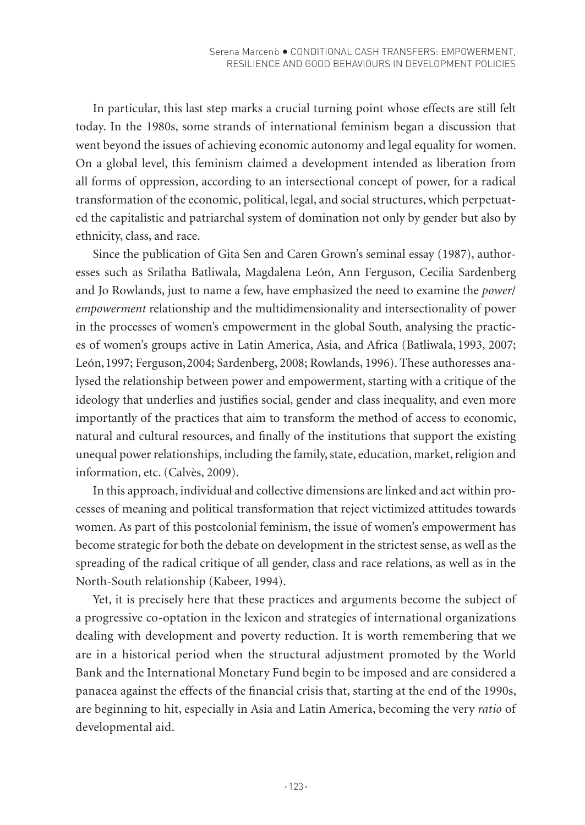In particular, this last step marks a crucial turning point whose effects are still felt today. In the 1980s, some strands of international feminism began a discussion that went beyond the issues of achieving economic autonomy and legal equality for women. On a global level, this feminism claimed a development intended as liberation from all forms of oppression, according to an intersectional concept of power, for a radical transformation of the economic, political, legal, and social structures, which perpetuated the capitalistic and patriarchal system of domination not only by gender but also by ethnicity, class, and race.

Since the publication of Gita Sen and Caren Grown's seminal essay (1987), authoresses such as Srilatha Batliwala, Magdalena León, Ann Ferguson, Cecilia Sardenberg and Jo Rowlands, just to name a few, have emphasized the need to examine the *power*/ *empowerment* relationship and the multidimensionality and intersectionality of power in the processes of women's empowerment in the global South, analysing the practices of women's groups active in Latin America, Asia, and Africa (Batliwala, 1993, 2007; León,1997; Ferguson,2004; Sardenberg, 2008; Rowlands, 1996). These authoresses analysed the relationship between power and empowerment, starting with a critique of the ideology that underlies and justifies social, gender and class inequality, and even more importantly of the practices that aim to transform the method of access to economic, natural and cultural resources, and finally of the institutions that support the existing unequal power relationships, including the family, state, education, market, religion and information, etc. (Calvès, 2009).

In this approach, individual and collective dimensions are linked and act within processes of meaning and political transformation that reject victimized attitudes towards women. As part of this postcolonial feminism, the issue of women's empowerment has become strategic for both the debate on development in the strictest sense, as well as the spreading of the radical critique of all gender, class and race relations, as well as in the North-South relationship (Kabeer, 1994).

Yet, it is precisely here that these practices and arguments become the subject of a progressive co-optation in the lexicon and strategies of international organizations dealing with development and poverty reduction. It is worth remembering that we are in a historical period when the structural adjustment promoted by the World Bank and the International Monetary Fund begin to be imposed and are considered a panacea against the effects of the financial crisis that, starting at the end of the 1990s, are beginning to hit, especially in Asia and Latin America, becoming the very *ratio* of developmental aid.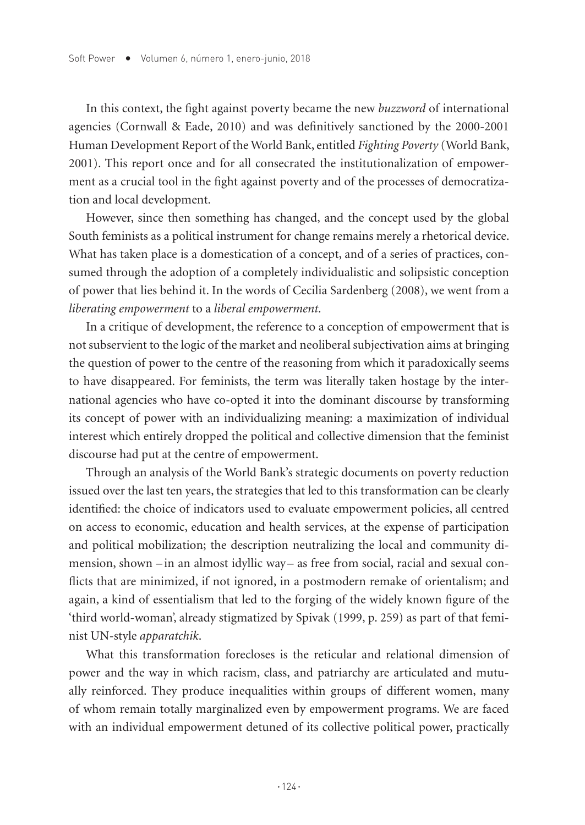In this context, the fight against poverty became the new *buzzword* of international agencies (Cornwall & Eade, 2010) and was definitively sanctioned by the 2000-2001 Human Development Report of the World Bank, entitled *Fighting Poverty* (World Bank, 2001). This report once and for all consecrated the institutionalization of empowerment as a crucial tool in the fight against poverty and of the processes of democratization and local development.

However, since then something has changed, and the concept used by the global South feminists as a political instrument for change remains merely a rhetorical device. What has taken place is a domestication of a concept, and of a series of practices, consumed through the adoption of a completely individualistic and solipsistic conception of power that lies behind it. In the words of Cecilia Sardenberg (2008), we went from a *liberating empowerment* to a *liberal empowerment*.

In a critique of development, the reference to a conception of empowerment that is not subservient to the logic of the market and neoliberal subjectivation aims at bringing the question of power to the centre of the reasoning from which it paradoxically seems to have disappeared. For feminists, the term was literally taken hostage by the international agencies who have co-opted it into the dominant discourse by transforming its concept of power with an individualizing meaning: a maximization of individual interest which entirely dropped the political and collective dimension that the feminist discourse had put at the centre of empowerment.

Through an analysis of the World Bank's strategic documents on poverty reduction issued over the last ten years, the strategies that led to this transformation can be clearly identified: the choice of indicators used to evaluate empowerment policies, all centred on access to economic, education and health services, at the expense of participation and political mobilization; the description neutralizing the local and community dimension, shown – in an almost idyllic way – as free from social, racial and sexual conflicts that are minimized, if not ignored, in a postmodern remake of orientalism; and again, a kind of essentialism that led to the forging of the widely known figure of the 'third world-woman', already stigmatized by Spivak (1999, p. 259) as part of that feminist UN-style *apparatchik*.

What this transformation forecloses is the reticular and relational dimension of power and the way in which racism, class, and patriarchy are articulated and mutually reinforced. They produce inequalities within groups of different women, many of whom remain totally marginalized even by empowerment programs. We are faced with an individual empowerment detuned of its collective political power, practically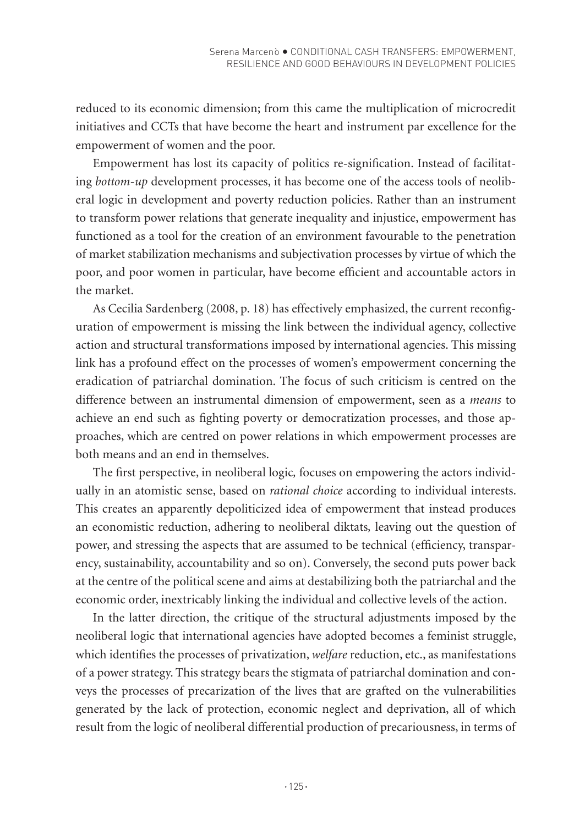reduced to its economic dimension; from this came the multiplication of microcredit initiatives and CCTs that have become the heart and instrument par excellence for the empowerment of women and the poor.

Empowerment has lost its capacity of politics re-signification. Instead of facilitating *bottom-up* development processes, it has become one of the access tools of neoliberal logic in development and poverty reduction policies. Rather than an instrument to transform power relations that generate inequality and injustice, empowerment has functioned as a tool for the creation of an environment favourable to the penetration of market stabilization mechanisms and subjectivation processes by virtue of which the poor, and poor women in particular, have become efficient and accountable actors in the market.

As Cecilia Sardenberg (2008, p. 18) has effectively emphasized, the current reconfiguration of empowerment is missing the link between the individual agency, collective action and structural transformations imposed by international agencies. This missing link has a profound effect on the processes of women's empowerment concerning the eradication of patriarchal domination. The focus of such criticism is centred on the difference between an instrumental dimension of empowerment, seen as a *means* to achieve an end such as fighting poverty or democratization processes, and those approaches, which are centred on power relations in which empowerment processes are both means and an end in themselves.

The first perspective, in neoliberal logic*,* focuses on empowering the actors individually in an atomistic sense, based on *rational choice* according to individual interests. This creates an apparently depoliticized idea of empowerment that instead produces an economistic reduction, adhering to neoliberal diktats*,* leaving out the question of power, and stressing the aspects that are assumed to be technical (efficiency, transparency, sustainability, accountability and so on). Conversely, the second puts power back at the centre of the political scene and aims at destabilizing both the patriarchal and the economic order, inextricably linking the individual and collective levels of the action.

In the latter direction, the critique of the structural adjustments imposed by the neoliberal logic that international agencies have adopted becomes a feminist struggle, which identifies the processes of privatization, *welfare* reduction, etc., as manifestations of a power strategy. This strategy bears the stigmata of patriarchal domination and conveys the processes of precarization of the lives that are grafted on the vulnerabilities generated by the lack of protection, economic neglect and deprivation, all of which result from the logic of neoliberal differential production of precariousness, in terms of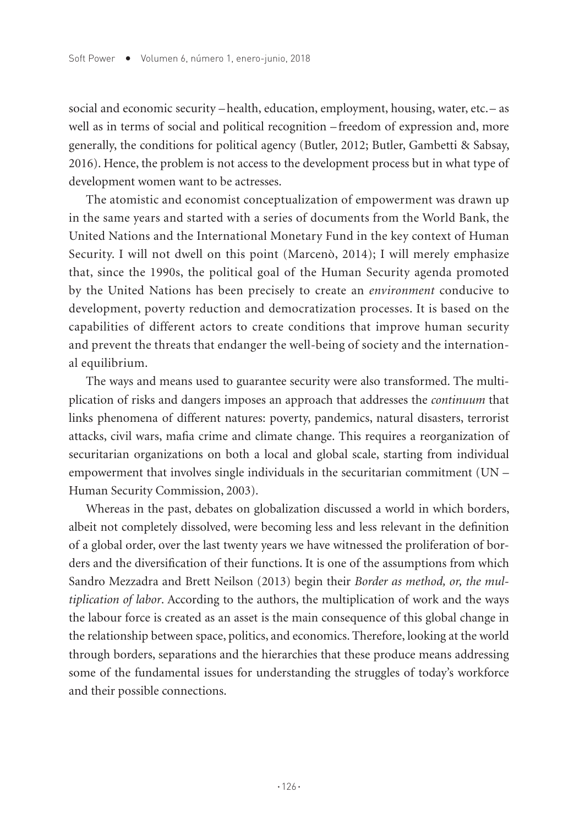social and economic security –health, education, employment, housing, water, etc.– as well as in terms of social and political recognition – freedom of expression and, more generally, the conditions for political agency (Butler, 2012; Butler, Gambetti & Sabsay, 2016). Hence, the problem is not access to the development process but in what type of development women want to be actresses.

The atomistic and economist conceptualization of empowerment was drawn up in the same years and started with a series of documents from the World Bank, the United Nations and the International Monetary Fund in the key context of Human Security. I will not dwell on this point (Marcenò, 2014); I will merely emphasize that, since the 1990s, the political goal of the Human Security agenda promoted by the United Nations has been precisely to create an *environment* conducive to development, poverty reduction and democratization processes. It is based on the capabilities of different actors to create conditions that improve human security and prevent the threats that endanger the well-being of society and the international equilibrium.

The ways and means used to guarantee security were also transformed. The multiplication of risks and dangers imposes an approach that addresses the *continuum* that links phenomena of different natures: poverty, pandemics, natural disasters, terrorist attacks, civil wars, mafia crime and climate change. This requires a reorganization of securitarian organizations on both a local and global scale, starting from individual empowerment that involves single individuals in the securitarian commitment (UN – Human Security Commission, 2003).

Whereas in the past, debates on globalization discussed a world in which borders, albeit not completely dissolved, were becoming less and less relevant in the definition of a global order, over the last twenty years we have witnessed the proliferation of borders and the diversification of their functions. It is one of the assumptions from which Sandro Mezzadra and Brett Neilson (2013) begin their *Border as method, or, the multiplication of labor*. According to the authors, the multiplication of work and the ways the labour force is created as an asset is the main consequence of this global change in the relationship between space, politics, and economics. Therefore, looking at the world through borders, separations and the hierarchies that these produce means addressing some of the fundamental issues for understanding the struggles of today's workforce and their possible connections.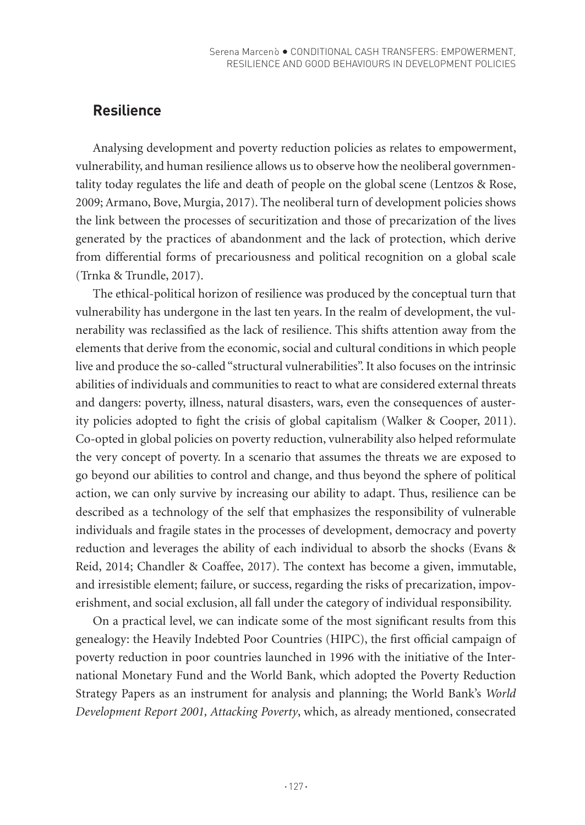# **Resilience**

Analysing development and poverty reduction policies as relates to empowerment, vulnerability, and human resilience allows us to observe how the neoliberal governmentality today regulates the life and death of people on the global scene (Lentzos & Rose, 2009; Armano, Bove, Murgia, 2017). The neoliberal turn of development policies shows the link between the processes of securitization and those of precarization of the lives generated by the practices of abandonment and the lack of protection, which derive from differential forms of precariousness and political recognition on a global scale (Trnka & Trundle, 2017).

The ethical-political horizon of resilience was produced by the conceptual turn that vulnerability has undergone in the last ten years. In the realm of development, the vulnerability was reclassified as the lack of resilience. This shifts attention away from the elements that derive from the economic, social and cultural conditions in which people live and produce the so-called "structural vulnerabilities". It also focuses on the intrinsic abilities of individuals and communities to react to what are considered external threats and dangers: poverty, illness, natural disasters, wars, even the consequences of austerity policies adopted to fight the crisis of global capitalism (Walker & Cooper, 2011). Co-opted in global policies on poverty reduction, vulnerability also helped reformulate the very concept of poverty. In a scenario that assumes the threats we are exposed to go beyond our abilities to control and change, and thus beyond the sphere of political action, we can only survive by increasing our ability to adapt. Thus, resilience can be described as a technology of the self that emphasizes the responsibility of vulnerable individuals and fragile states in the processes of development, democracy and poverty reduction and leverages the ability of each individual to absorb the shocks (Evans & Reid, 2014; Chandler & Coaffee, 2017). The context has become a given, immutable, and irresistible element; failure, or success, regarding the risks of precarization, impoverishment, and social exclusion, all fall under the category of individual responsibility.

On a practical level, we can indicate some of the most significant results from this genealogy: the Heavily Indebted Poor Countries (HIPC), the first official campaign of poverty reduction in poor countries launched in 1996 with the initiative of the International Monetary Fund and the World Bank, which adopted the Poverty Reduction Strategy Papers as an instrument for analysis and planning; the World Bank's *World Development Report 2001, Attacking Poverty*, which, as already mentioned, consecrated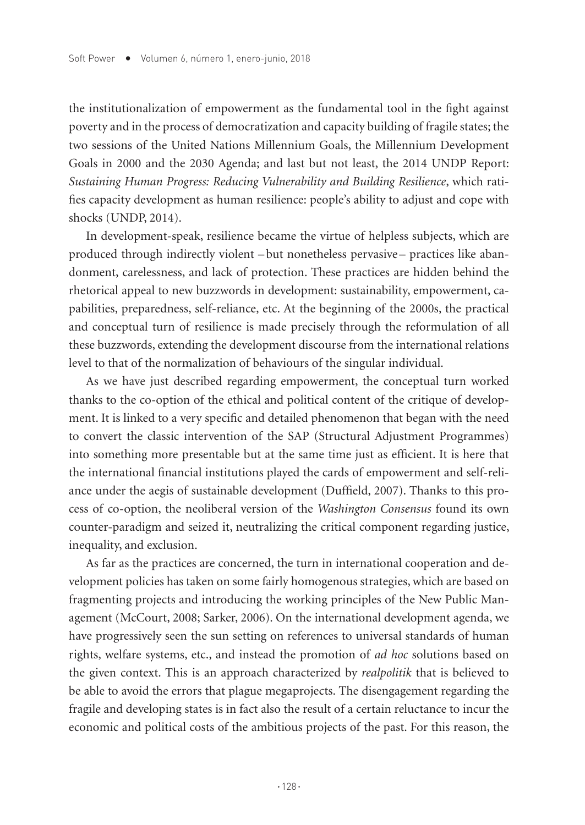the institutionalization of empowerment as the fundamental tool in the fight against poverty and in the process of democratization and capacity building of fragile states; the two sessions of the United Nations Millennium Goals, the Millennium Development Goals in 2000 and the 2030 Agenda; and last but not least, the 2014 UNDP Report: *Sustaining Human Progress: Reducing Vulnerability and Building Resilience*, which ratifies capacity development as human resilience: people's ability to adjust and cope with shocks (UNDP, 2014).

In development-speak, resilience became the virtue of helpless subjects, which are produced through indirectly violent –but nonetheless pervasive– practices like abandonment, carelessness, and lack of protection. These practices are hidden behind the rhetorical appeal to new buzzwords in development: sustainability, empowerment, capabilities, preparedness, self-reliance, etc. At the beginning of the 2000s, the practical and conceptual turn of resilience is made precisely through the reformulation of all these buzzwords, extending the development discourse from the international relations level to that of the normalization of behaviours of the singular individual.

As we have just described regarding empowerment, the conceptual turn worked thanks to the co-option of the ethical and political content of the critique of development. It is linked to a very specific and detailed phenomenon that began with the need to convert the classic intervention of the SAP (Structural Adjustment Programmes) into something more presentable but at the same time just as efficient. It is here that the international financial institutions played the cards of empowerment and self-reliance under the aegis of sustainable development (Duffield, 2007). Thanks to this process of co-option, the neoliberal version of the *Washington Consensus* found its own counter-paradigm and seized it, neutralizing the critical component regarding justice, inequality, and exclusion.

As far as the practices are concerned, the turn in international cooperation and development policies has taken on some fairly homogenous strategies, which are based on fragmenting projects and introducing the working principles of the New Public Management (McCourt, 2008; Sarker, 2006). On the international development agenda, we have progressively seen the sun setting on references to universal standards of human rights, welfare systems, etc., and instead the promotion of *ad hoc* solutions based on the given context. This is an approach characterized by *realpolitik* that is believed to be able to avoid the errors that plague megaprojects. The disengagement regarding the fragile and developing states is in fact also the result of a certain reluctance to incur the economic and political costs of the ambitious projects of the past. For this reason, the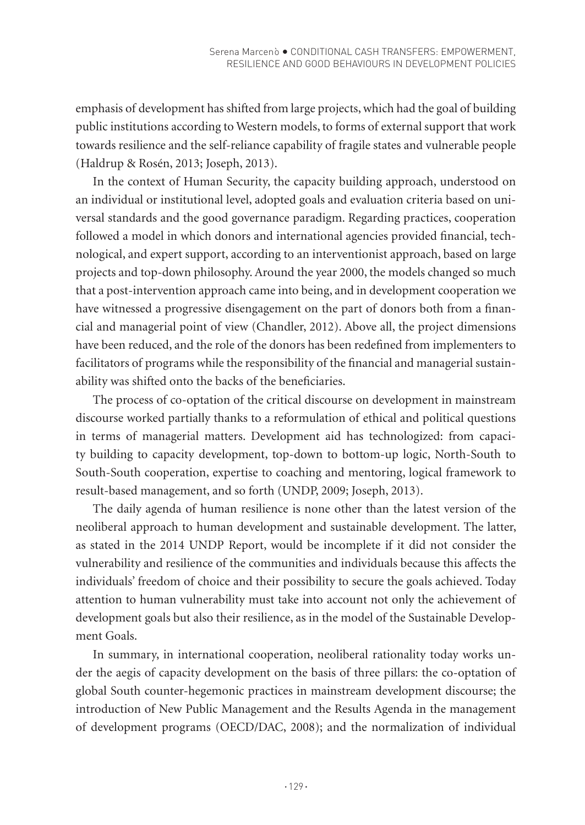emphasis of development has shifted from large projects, which had the goal of building public institutions according to Western models, to forms of external support that work towards resilience and the self-reliance capability of fragile states and vulnerable people (Haldrup & Rosén, 2013; Joseph, 2013).

In the context of Human Security, the capacity building approach, understood on an individual or institutional level, adopted goals and evaluation criteria based on universal standards and the good governance paradigm. Regarding practices, cooperation followed a model in which donors and international agencies provided financial, technological, and expert support, according to an interventionist approach, based on large projects and top-down philosophy. Around the year 2000, the models changed so much that a post-intervention approach came into being, and in development cooperation we have witnessed a progressive disengagement on the part of donors both from a financial and managerial point of view (Chandler, 2012). Above all, the project dimensions have been reduced, and the role of the donors has been redefined from implementers to facilitators of programs while the responsibility of the financial and managerial sustainability was shifted onto the backs of the beneficiaries.

The process of co-optation of the critical discourse on development in mainstream discourse worked partially thanks to a reformulation of ethical and political questions in terms of managerial matters. Development aid has technologized: from capacity building to capacity development, top-down to bottom-up logic, North-South to South-South cooperation, expertise to coaching and mentoring, logical framework to result-based management, and so forth (UNDP, 2009; Joseph, 2013).

The daily agenda of human resilience is none other than the latest version of the neoliberal approach to human development and sustainable development. The latter, as stated in the 2014 UNDP Report, would be incomplete if it did not consider the vulnerability and resilience of the communities and individuals because this affects the individuals' freedom of choice and their possibility to secure the goals achieved. Today attention to human vulnerability must take into account not only the achievement of development goals but also their resilience, as in the model of the Sustainable Development Goals.

In summary, in international cooperation, neoliberal rationality today works under the aegis of capacity development on the basis of three pillars: the co-optation of global South counter-hegemonic practices in mainstream development discourse; the introduction of New Public Management and the Results Agenda in the management of development programs (OECD/DAC, 2008); and the normalization of individual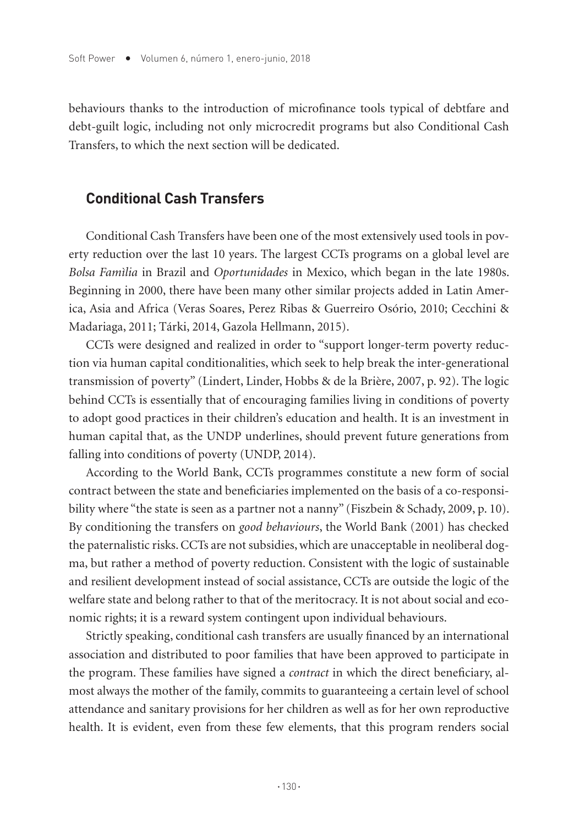behaviours thanks to the introduction of microfinance tools typical of debtfare and debt-guilt logic, including not only microcredit programs but also Conditional Cash Transfers, to which the next section will be dedicated.

### **Conditional Cash Transfers**

Conditional Cash Transfers have been one of the most extensively used tools in poverty reduction over the last 10 years. The largest CCTs programs on a global level are *Bolsa Famìlia* in Brazil and *Oportunidades* in Mexico, which began in the late 1980s. Beginning in 2000, there have been many other similar projects added in Latin America, Asia and Africa (Veras Soares, Perez Ribas & Guerreiro Osório, 2010; Cecchini & Madariaga, 2011; Tárki, 2014, Gazola Hellmann, 2015).

CCTs were designed and realized in order to "support longer-term poverty reduction via human capital conditionalities, which seek to help break the inter-generational transmission of poverty" (Lindert, Linder, Hobbs & de la Brière, 2007, p. 92). The logic behind CCTs is essentially that of encouraging families living in conditions of poverty to adopt good practices in their children's education and health. It is an investment in human capital that, as the UNDP underlines, should prevent future generations from falling into conditions of poverty (UNDP, 2014).

According to the World Bank, CCTs programmes constitute a new form of social contract between the state and beneficiaries implemented on the basis of a co-responsibility where "the state is seen as a partner not a nanny" (Fiszbein & Schady, 2009, p. 10). By conditioning the transfers on *good behaviours*, the World Bank (2001) has checked the paternalistic risks. CCTs are not subsidies, which are unacceptable in neoliberal dogma, but rather a method of poverty reduction. Consistent with the logic of sustainable and resilient development instead of social assistance, CCTs are outside the logic of the welfare state and belong rather to that of the meritocracy. It is not about social and economic rights; it is a reward system contingent upon individual behaviours.

Strictly speaking, conditional cash transfers are usually financed by an international association and distributed to poor families that have been approved to participate in the program. These families have signed a *contract* in which the direct beneficiary, almost always the mother of the family, commits to guaranteeing a certain level of school attendance and sanitary provisions for her children as well as for her own reproductive health. It is evident, even from these few elements, that this program renders social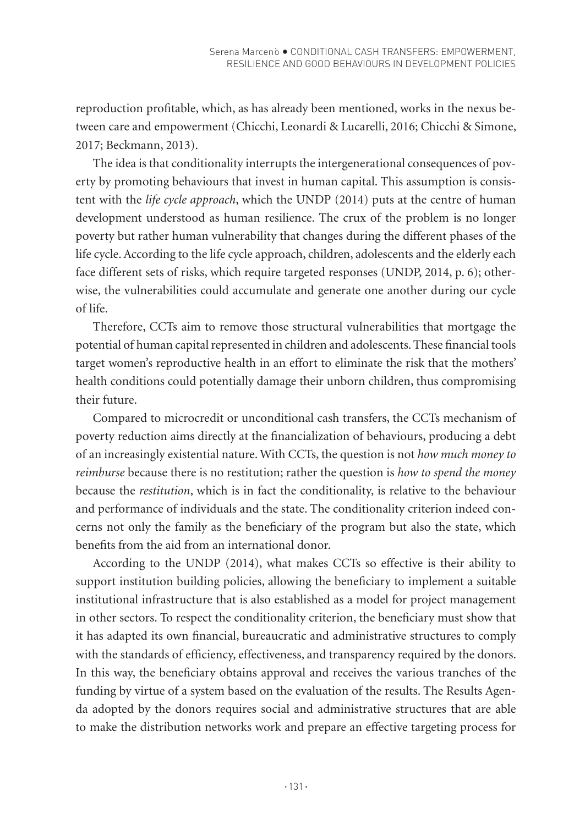reproduction profitable, which, as has already been mentioned, works in the nexus between care and empowerment (Chicchi, Leonardi & Lucarelli, 2016; Chicchi & Simone, 2017; Beckmann, 2013).

The idea is that conditionality interrupts the intergenerational consequences of poverty by promoting behaviours that invest in human capital. This assumption is consistent with the *life cycle approach*, which the UNDP (2014) puts at the centre of human development understood as human resilience. The crux of the problem is no longer poverty but rather human vulnerability that changes during the different phases of the life cycle. According to the life cycle approach, children, adolescents and the elderly each face different sets of risks, which require targeted responses (UNDP, 2014, p. 6); otherwise, the vulnerabilities could accumulate and generate one another during our cycle of life.

Therefore, CCTs aim to remove those structural vulnerabilities that mortgage the potential of human capital represented in children and adolescents. These financial tools target women's reproductive health in an effort to eliminate the risk that the mothers' health conditions could potentially damage their unborn children, thus compromising their future.

Compared to microcredit or unconditional cash transfers, the CCTs mechanism of poverty reduction aims directly at the financialization of behaviours, producing a debt of an increasingly existential nature. With CCTs, the question is not *how much money to reimburse* because there is no restitution; rather the question is *how to spend the money* because the *restitution*, which is in fact the conditionality, is relative to the behaviour and performance of individuals and the state. The conditionality criterion indeed concerns not only the family as the beneficiary of the program but also the state, which benefits from the aid from an international donor.

According to the UNDP (2014), what makes CCTs so effective is their ability to support institution building policies, allowing the beneficiary to implement a suitable institutional infrastructure that is also established as a model for project management in other sectors. To respect the conditionality criterion, the beneficiary must show that it has adapted its own financial, bureaucratic and administrative structures to comply with the standards of efficiency, effectiveness, and transparency required by the donors. In this way, the beneficiary obtains approval and receives the various tranches of the funding by virtue of a system based on the evaluation of the results. The Results Agenda adopted by the donors requires social and administrative structures that are able to make the distribution networks work and prepare an effective targeting process for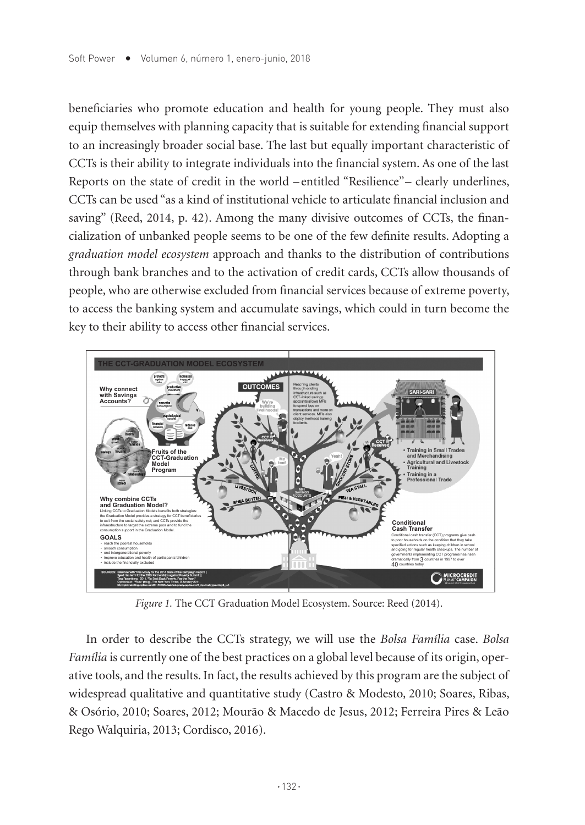beneficiaries who promote education and health for young people. They must also equip themselves with planning capacity that is suitable for extending financial support to an increasingly broader social base. The last but equally important characteristic of CCTs is their ability to integrate individuals into the financial system. As one of the last Reports on the state of credit in the world – entitled "Resilience"– clearly underlines, CCTs can be used "as a kind of institutional vehicle to articulate financial inclusion and saving" (Reed, 2014, p. 42). Among the many divisive outcomes of CCTs, the financialization of unbanked people seems to be one of the few definite results. Adopting a *graduation model ecosystem* approach and thanks to the distribution of contributions through bank branches and to the activation of credit cards, CCTs allow thousands of people, who are otherwise excluded from financial services because of extreme poverty, to access the banking system and accumulate savings, which could in turn become the key to their ability to access other financial services.



*Figure 1.* The CCT Graduation Model Ecosystem. Source: Reed (2014).

In order to describe the CCTs strategy, we will use the *Bolsa Família* case. *Bolsa Família* is currently one of the best practices on a global level because of its origin, operative tools, and the results. In fact, the results achieved by this program are the subject of widespread qualitative and quantitative study (Castro & Modesto, 2010; Soares, Ribas, & Osório, 2010; Soares, 2012; Mourão & Macedo de Jesus, 2012; Ferreira Pires & Leão Rego Walquiria, 2013; Cordisco, 2016).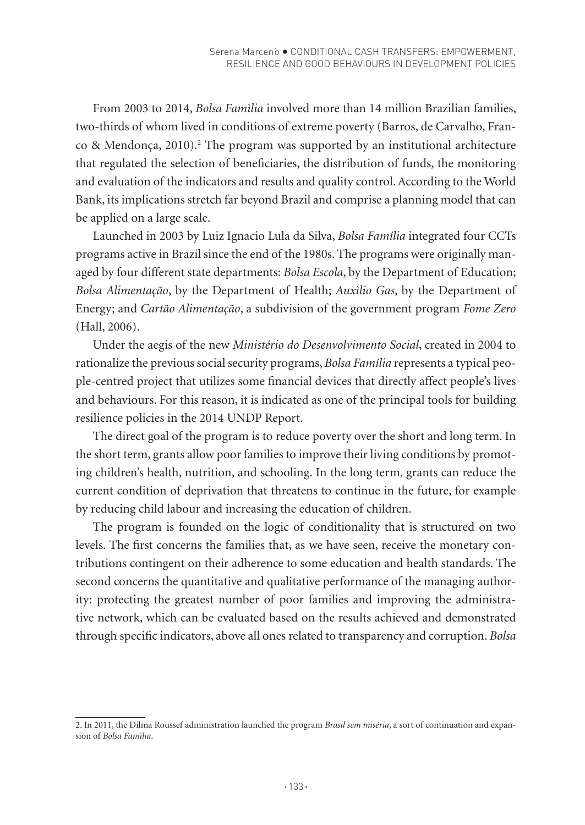From 2003 to 2014, *Bolsa Famìlia* involved more than 14 million Brazilian families, two-thirds of whom lived in conditions of extreme poverty (Barros, de Carvalho, Franco & Mendonça, 2010).<sup>2</sup> The program was supported by an institutional architecture that regulated the selection of beneficiaries, the distribution of funds, the monitoring and evaluation of the indicators and results and quality control. According to the World Bank, its implications stretch far beyond Brazil and comprise a planning model that can be applied on a large scale.

Launched in 2003 by Luiz Ignacio Lula da Silva, *Bolsa Família* integrated four CCTs programs active in Brazil since the end of the 1980s. The programs were originally managed by four different state departments: *Bolsa Escola*, by the Department of Education; *Bolsa Alimentação*, by the Department of Health; *Auxìlio Gas*, by the Department of Energy; and *Cartão Alimentação*, a subdivision of the government program *Fome Zero* (Hall, 2006).

Under the aegis of the new *Ministério do Desenvolvimento Social*, created in 2004 to rationalize the previous social security programs, *Bolsa Família* represents a typical people-centred project that utilizes some financial devices that directly affect people's lives and behaviours. For this reason, it is indicated as one of the principal tools for building resilience policies in the 2014 UNDP Report.

The direct goal of the program is to reduce poverty over the short and long term. In the short term, grants allow poor families to improve their living conditions by promoting children's health, nutrition, and schooling. In the long term, grants can reduce the current condition of deprivation that threatens to continue in the future, for example by reducing child labour and increasing the education of children.

The program is founded on the logic of conditionality that is structured on two levels. The first concerns the families that, as we have seen, receive the monetary contributions contingent on their adherence to some education and health standards. The second concerns the quantitative and qualitative performance of the managing authority: protecting the greatest number of poor families and improving the administrative network, which can be evaluated based on the results achieved and demonstrated through specific indicators, above all ones related to transparency and corruption. *Bolsa* 

<sup>2.</sup> In 2011, the Dilma Roussef administration launched the program *Brasil sem miséria*, a sort of continuation and expansion of *Bolsa Famìlia*.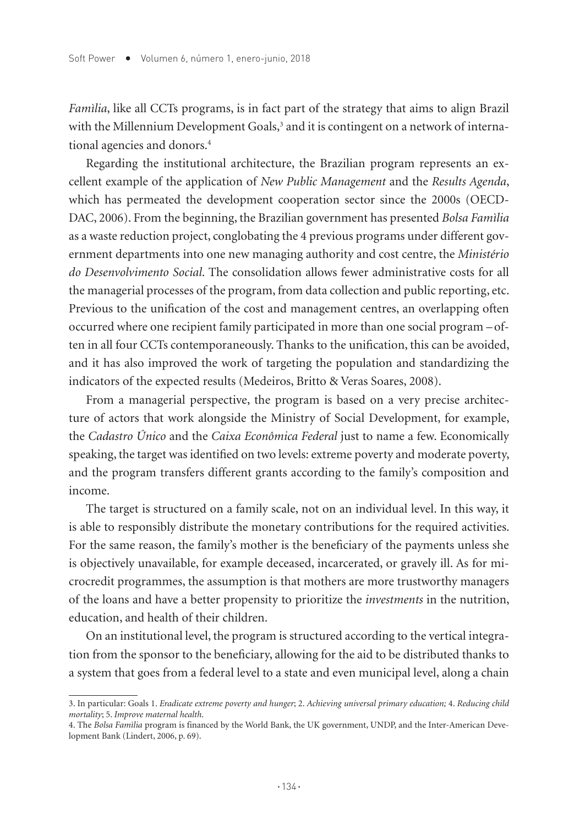*Famìlia*, like all CCTs programs, is in fact part of the strategy that aims to align Brazil with the Millennium Development Goals,<sup>3</sup> and it is contingent on a network of international agencies and donors.<sup>4</sup>

Regarding the institutional architecture, the Brazilian program represents an excellent example of the application of *New Public Management* and the *Results Agenda*, which has permeated the development cooperation sector since the 2000s (OECD-DAC, 2006). From the beginning, the Brazilian government has presented *Bolsa Famìlia*  as a waste reduction project, conglobating the 4 previous programs under different government departments into one new managing authority and cost centre, the *Ministério do Desenvolvimento Social*. The consolidation allows fewer administrative costs for all the managerial processes of the program, from data collection and public reporting, etc. Previous to the unification of the cost and management centres, an overlapping often occurred where one recipient family participated in more than one social program –often in all four CCTs contemporaneously. Thanks to the unification, this can be avoided, and it has also improved the work of targeting the population and standardizing the indicators of the expected results (Medeiros, Britto & Veras Soares, 2008).

From a managerial perspective, the program is based on a very precise architecture of actors that work alongside the Ministry of Social Development, for example, the *Cadastro Único* and the *Caixa Econômica Federal* just to name a few. Economically speaking, the target was identified on two levels: extreme poverty and moderate poverty, and the program transfers different grants according to the family's composition and income.

The target is structured on a family scale, not on an individual level. In this way, it is able to responsibly distribute the monetary contributions for the required activities. For the same reason, the family's mother is the beneficiary of the payments unless she is objectively unavailable, for example deceased, incarcerated, or gravely ill. As for microcredit programmes, the assumption is that mothers are more trustworthy managers of the loans and have a better propensity to prioritize the *investments* in the nutrition, education, and health of their children.

On an institutional level, the program is structured according to the vertical integration from the sponsor to the beneficiary, allowing for the aid to be distributed thanks to a system that goes from a federal level to a state and even municipal level, along a chain

<sup>3.</sup> In particular: Goals 1. *Eradicate extreme poverty and hunger*; 2. *Achieving universal primary education;* 4. *Reducing child mortality*; 5. *Improve maternal health*.

<sup>4.</sup> The *Bolsa Famìlia* program is financed by the World Bank, the UK government, UNDP, and the Inter-American Development Bank (Lindert, 2006, p. 69).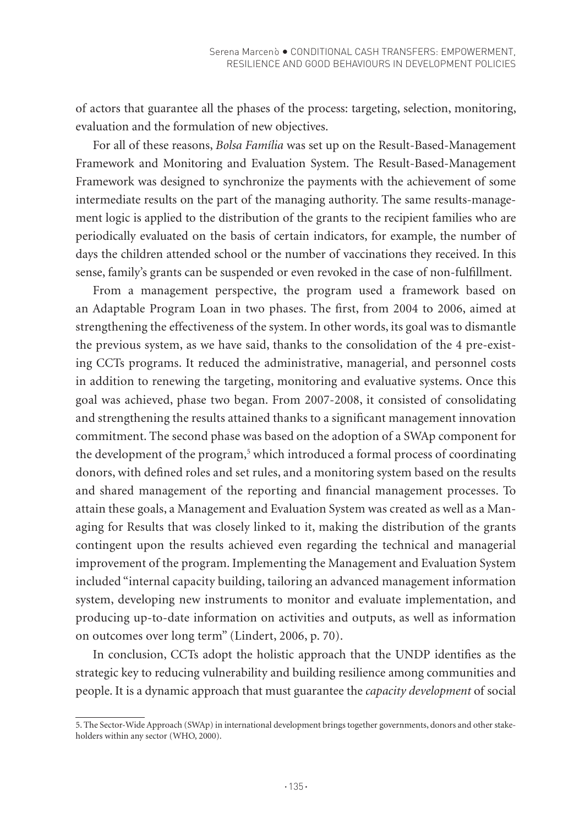of actors that guarantee all the phases of the process: targeting, selection, monitoring, evaluation and the formulation of new objectives.

For all of these reasons, *Bolsa Família* was set up on the Result-Based-Management Framework and Monitoring and Evaluation System. The Result-Based-Management Framework was designed to synchronize the payments with the achievement of some intermediate results on the part of the managing authority. The same results-management logic is applied to the distribution of the grants to the recipient families who are periodically evaluated on the basis of certain indicators, for example, the number of days the children attended school or the number of vaccinations they received. In this sense, family's grants can be suspended or even revoked in the case of non-fulfillment.

From a management perspective, the program used a framework based on an Adaptable Program Loan in two phases. The first, from 2004 to 2006, aimed at strengthening the effectiveness of the system. In other words, its goal was to dismantle the previous system, as we have said, thanks to the consolidation of the 4 pre-existing CCTs programs. It reduced the administrative, managerial, and personnel costs in addition to renewing the targeting, monitoring and evaluative systems. Once this goal was achieved, phase two began. From 2007-2008, it consisted of consolidating and strengthening the results attained thanks to a significant management innovation commitment. The second phase was based on the adoption of a SWAp component for the development of the program,<sup>5</sup> which introduced a formal process of coordinating donors, with defined roles and set rules, and a monitoring system based on the results and shared management of the reporting and financial management processes. To attain these goals, a Management and Evaluation System was created as well as a Managing for Results that was closely linked to it, making the distribution of the grants contingent upon the results achieved even regarding the technical and managerial improvement of the program. Implementing the Management and Evaluation System included "internal capacity building, tailoring an advanced management information system, developing new instruments to monitor and evaluate implementation, and producing up-to-date information on activities and outputs, as well as information on outcomes over long term" (Lindert, 2006, p. 70).

In conclusion, CCTs adopt the holistic approach that the UNDP identifies as the strategic key to reducing vulnerability and building resilience among communities and people. It is a dynamic approach that must guarantee the *capacity development* of social

<sup>5.</sup> The Sector-Wide Approach (SWAp) in international development brings together governments, donors and other stakeholders within any sector (WHO, 2000).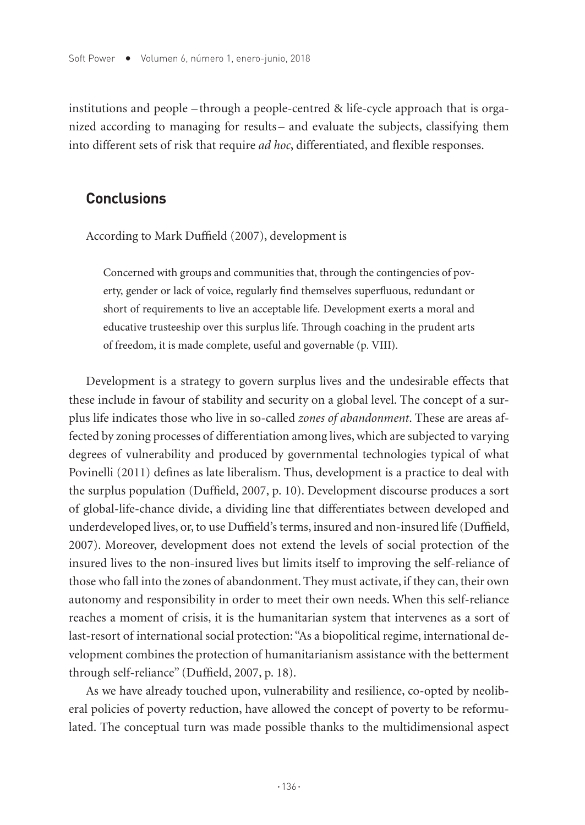institutions and people – through a people-centred & life-cycle approach that is organized according to managing for results – and evaluate the subjects, classifying them into different sets of risk that require *ad hoc*, differentiated, and flexible responses.

## **Conclusions**

According to Mark Duffield (2007), development is

Concerned with groups and communities that, through the contingencies of poverty, gender or lack of voice, regularly find themselves superfluous, redundant or short of requirements to live an acceptable life. Development exerts a moral and educative trusteeship over this surplus life. Through coaching in the prudent arts of freedom, it is made complete, useful and governable (p. VIII).

Development is a strategy to govern surplus lives and the undesirable effects that these include in favour of stability and security on a global level. The concept of a surplus life indicates those who live in so-called *zones of abandonment*. These are areas affected by zoning processes of differentiation among lives, which are subjected to varying degrees of vulnerability and produced by governmental technologies typical of what Povinelli (2011) defines as late liberalism. Thus, development is a practice to deal with the surplus population (Duffield, 2007, p. 10). Development discourse produces a sort of global-life-chance divide, a dividing line that differentiates between developed and underdeveloped lives, or, to use Duffield's terms, insured and non-insured life (Duffield, 2007). Moreover, development does not extend the levels of social protection of the insured lives to the non-insured lives but limits itself to improving the self-reliance of those who fall into the zones of abandonment. They must activate, if they can, their own autonomy and responsibility in order to meet their own needs. When this self-reliance reaches a moment of crisis, it is the humanitarian system that intervenes as a sort of last-resort of international social protection: "As a biopolitical regime, international development combines the protection of humanitarianism assistance with the betterment through self-reliance" (Duffield, 2007, p. 18).

As we have already touched upon, vulnerability and resilience, co-opted by neoliberal policies of poverty reduction, have allowed the concept of poverty to be reformulated. The conceptual turn was made possible thanks to the multidimensional aspect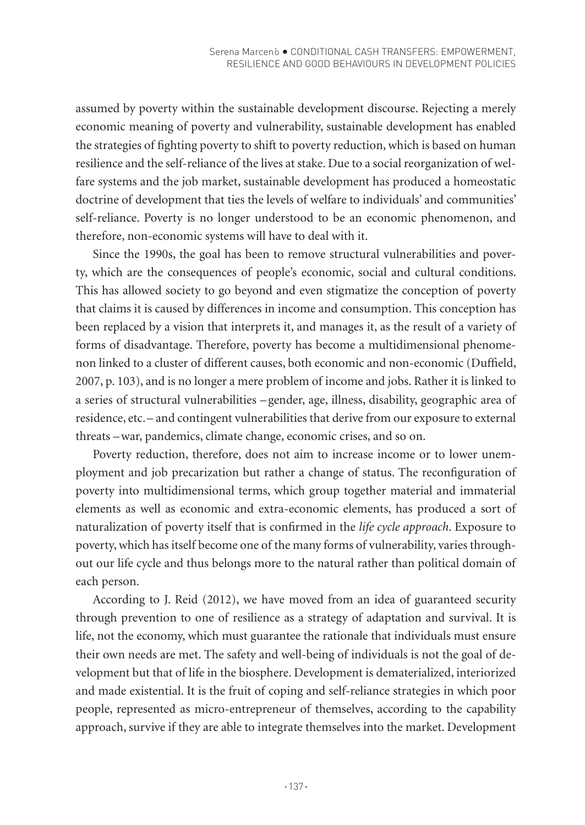assumed by poverty within the sustainable development discourse. Rejecting a merely economic meaning of poverty and vulnerability, sustainable development has enabled the strategies of fighting poverty to shift to poverty reduction, which is based on human resilience and the self-reliance of the lives at stake. Due to a social reorganization of welfare systems and the job market, sustainable development has produced a homeostatic doctrine of development that ties the levels of welfare to individuals' and communities' self-reliance. Poverty is no longer understood to be an economic phenomenon, and therefore, non-economic systems will have to deal with it.

Since the 1990s, the goal has been to remove structural vulnerabilities and poverty, which are the consequences of people's economic, social and cultural conditions. This has allowed society to go beyond and even stigmatize the conception of poverty that claims it is caused by differences in income and consumption. This conception has been replaced by a vision that interprets it, and manages it, as the result of a variety of forms of disadvantage. Therefore, poverty has become a multidimensional phenomenon linked to a cluster of different causes, both economic and non-economic (Duffield, 2007, p. 103), and is no longer a mere problem of income and jobs. Rather it is linked to a series of structural vulnerabilities – gender, age, illness, disability, geographic area of residence, etc.– and contingent vulnerabilities that derive from our exposure to external threats –war, pandemics, climate change, economic crises, and so on.

Poverty reduction, therefore, does not aim to increase income or to lower unemployment and job precarization but rather a change of status. The reconfiguration of poverty into multidimensional terms, which group together material and immaterial elements as well as economic and extra-economic elements, has produced a sort of naturalization of poverty itself that is confirmed in the *life cycle approach*. Exposure to poverty, which has itself become one of the many forms of vulnerability, varies throughout our life cycle and thus belongs more to the natural rather than political domain of each person.

According to J. Reid (2012), we have moved from an idea of guaranteed security through prevention to one of resilience as a strategy of adaptation and survival. It is life, not the economy, which must guarantee the rationale that individuals must ensure their own needs are met. The safety and well-being of individuals is not the goal of development but that of life in the biosphere. Development is dematerialized, interiorized and made existential. It is the fruit of coping and self-reliance strategies in which poor people, represented as micro-entrepreneur of themselves, according to the capability approach, survive if they are able to integrate themselves into the market. Development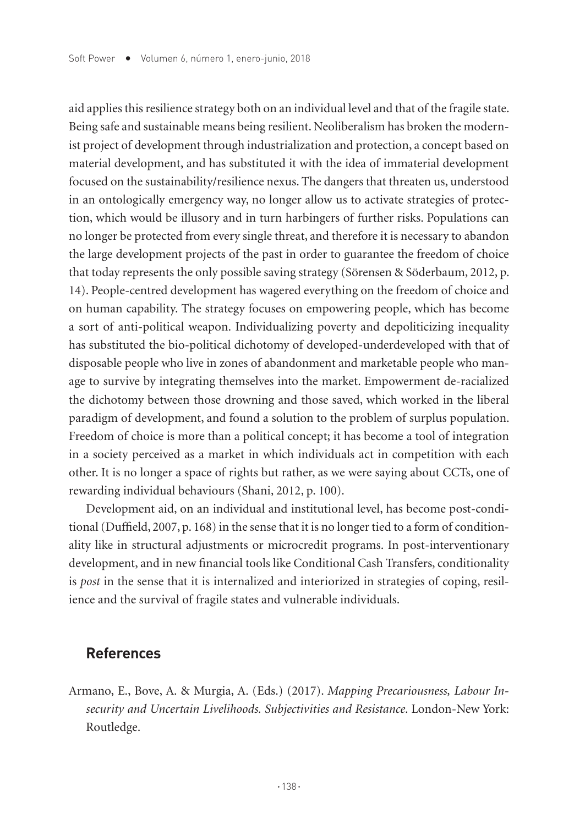aid applies this resilience strategy both on an individual level and that of the fragile state. Being safe and sustainable means being resilient. Neoliberalism has broken the modernist project of development through industrialization and protection, a concept based on material development, and has substituted it with the idea of immaterial development focused on the sustainability/resilience nexus. The dangers that threaten us, understood in an ontologically emergency way, no longer allow us to activate strategies of protection, which would be illusory and in turn harbingers of further risks. Populations can no longer be protected from every single threat, and therefore it is necessary to abandon the large development projects of the past in order to guarantee the freedom of choice that today represents the only possible saving strategy (Sörensen & Söderbaum, 2012, p. 14). People-centred development has wagered everything on the freedom of choice and on human capability. The strategy focuses on empowering people, which has become a sort of anti-political weapon. Individualizing poverty and depoliticizing inequality has substituted the bio-political dichotomy of developed-underdeveloped with that of disposable people who live in zones of abandonment and marketable people who manage to survive by integrating themselves into the market. Empowerment de-racialized the dichotomy between those drowning and those saved, which worked in the liberal paradigm of development, and found a solution to the problem of surplus population. Freedom of choice is more than a political concept; it has become a tool of integration in a society perceived as a market in which individuals act in competition with each other. It is no longer a space of rights but rather, as we were saying about CCTs, one of rewarding individual behaviours (Shani, 2012, p. 100).

Development aid, on an individual and institutional level, has become post-conditional (Duffield, 2007, p. 168) in the sense that it is no longer tied to a form of conditionality like in structural adjustments or microcredit programs. In post-interventionary development, and in new financial tools like Conditional Cash Transfers, conditionality is *post* in the sense that it is internalized and interiorized in strategies of coping, resilience and the survival of fragile states and vulnerable individuals.

#### **References**

Armano, E., Bove, A. & Murgia, A. (Eds.) (2017). *Mapping Precariousness, Labour Insecurity and Uncertain Livelihoods. Subjectivities and Resistance*. London-New York: Routledge.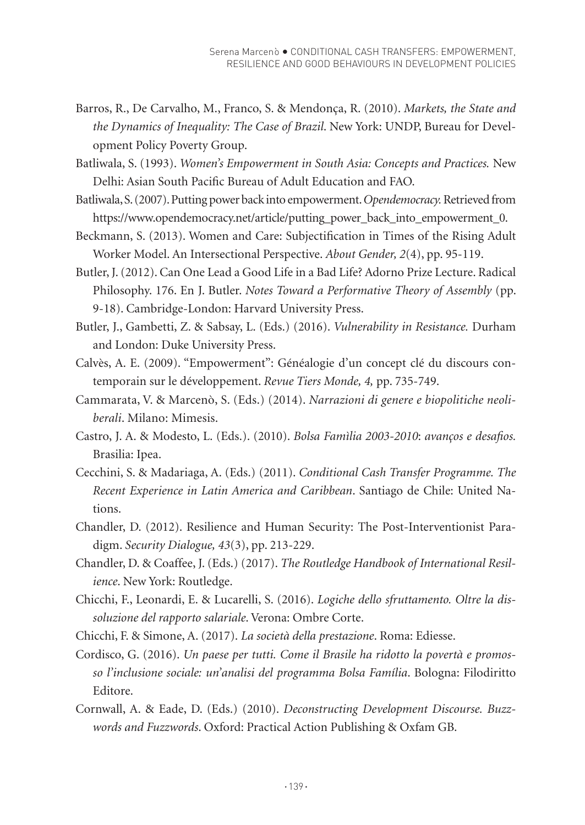- Barros, R., De Carvalho, M., Franco, S. & Mendonça, R. (2010). *Markets, the State and the Dynamics of Inequality: The Case of Brazil*. New York: UNDP, Bureau for Development Policy Poverty Group.
- Batliwala, S. (1993). *Women's Empowerment in South Asia: Concepts and Practices.* New Delhi: Asian South Pacific Bureau of Adult Education and FAO.
- Batliwala, S. (2007). Putting power back into empowerment. *Opendemocracy.* Retrieved from https://www.opendemocracy.net/article/putting\_power\_back\_into\_empowerment\_0.
- Beckmann, S. (2013). Women and Care: Subjectification in Times of the Rising Adult Worker Model. An Intersectional Perspective. *About Gender, 2*(4), pp. 95-119.
- Butler, J. (2012). Can One Lead a Good Life in a Bad Life? Adorno Prize Lecture. Radical Philosophy. 176. En J. Butler. *Notes Toward a Performative Theory of Assembly* (pp. 9-18). Cambridge-London: Harvard University Press.
- Butler, J., Gambetti, Z. & Sabsay, L. (Eds.) (2016). *Vulnerability in Resistance.* Durham and London: Duke University Press.
- Calvès, A. E. (2009). "Empowerment": Généalogie d'un concept clé du discours contemporain sur le développement. *Revue Tiers Monde, 4,* pp. 735-749.
- Cammarata, V. & Marcenò, S. (Eds.) (2014). *Narrazioni di genere e biopolitiche neoliberali*. Milano: Mimesis.
- Castro, J. A. & Modesto, L. (Eds.). (2010). *Bolsa Famìlia 2003-2010*: *avanços e desafios.*  Brasilia: Ipea.
- Cecchini, S. & Madariaga, A. (Eds.) (2011). *Conditional Cash Transfer Programme. The Recent Experience in Latin America and Caribbean*. Santiago de Chile: United Nations.
- Chandler, D. (2012). Resilience and Human Security: The Post-Interventionist Paradigm. *Security Dialogue, 43*(3), pp. 213-229.
- Chandler, D. & Coaffee, J. (Eds.) (2017). *The Routledge Handbook of International Resilience*. New York: Routledge.
- Chicchi, F., Leonardi, E. & Lucarelli, S. (2016). *Logiche dello sfruttamento. Oltre la dissoluzione del rapporto salariale*. Verona: Ombre Corte.
- Chicchi, F. & Simone, A. (2017). *La società della prestazione*. Roma: Ediesse.
- Cordisco, G. (2016). *Un paese per tutti. Come il Brasile ha ridotto la povertà e promosso l'inclusione sociale: un'analisi del programma Bolsa Família*. Bologna: Filodiritto Editore.
- Cornwall, A. & Eade, D. (Eds.) (2010). *Deconstructing Development Discourse. Buzzwords and Fuzzwords*. Oxford: Practical Action Publishing & Oxfam GB.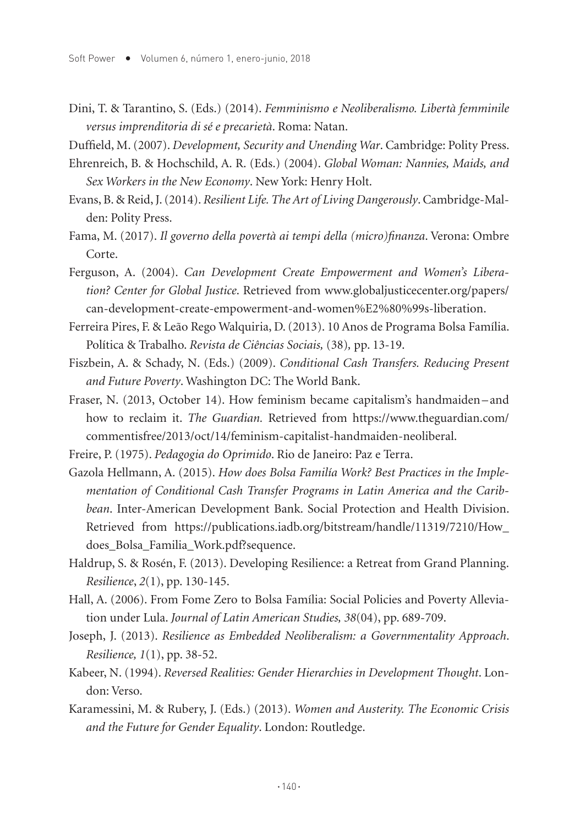Dini, T. & Tarantino, S. (Eds.) (2014). *Femminismo e Neoliberalismo. Libertà femminile versus imprenditoria di sé e precarietà*. Roma: Natan.

Duffield, M. (2007). *Development, Security and Unending War*. Cambridge: Polity Press.

- Ehrenreich, B. & Hochschild, A. R. (Eds.) (2004). *Global Woman: Nannies, Maids, and Sex Workers in the New Economy*. New York: Henry Holt.
- Evans, B. & Reid, J. (2014). *Resilient Life. The Art of Living Dangerously*. Cambridge-Malden: Polity Press.
- Fama, M. (2017). *Il governo della povertà ai tempi della (micro)finanza*. Verona: Ombre Corte.
- Ferguson, A. (2004). *Can Development Create Empowerment and Women's Liberation? Center for Global Justice*. Retrieved from www.globaljusticecenter.org/papers/ can-development-create-empowerment-and-women%E2%80%99s-liberation.
- Ferreira Pires, F. & Leão Rego Walquiria, D. (2013). 10 Anos de Programa Bolsa Família. Política & Trabalho. *Revista de Ciências Sociais,* (38)*,* pp. 13-19.
- Fiszbein, A. & Schady, N. (Eds.) (2009). *Conditional Cash Transfers. Reducing Present and Future Poverty*. Washington DC: The World Bank.
- Fraser, N. (2013, October 14). How feminism became capitalism's handmaiden–and how to reclaim it. *The Guardian.* Retrieved from https://www.theguardian.com/ commentisfree/2013/oct/14/feminism-capitalist-handmaiden-neoliberal.
- Freire, P. (1975). *Pedagogia do Oprimido*. Rio de Janeiro: Paz e Terra.
- Gazola Hellmann, A. (2015). *How does Bolsa Familía Work? Best Practices in the Implementation of Conditional Cash Transfer Programs in Latin America and the Caribbean*. Inter-American Development Bank. Social Protection and Health Division. Retrieved from https://publications.iadb.org/bitstream/handle/11319/7210/How\_ does\_Bolsa\_Familia\_Work.pdf?sequence.
- Haldrup, S. & Rosén, F. (2013). Developing Resilience: a Retreat from Grand Planning. *Resilience*, *2*(1), pp. 130-145.
- Hall, A. (2006). From Fome Zero to Bolsa Família: Social Policies and Poverty Alleviation under Lula. *Journal of Latin American Studies, 38*(04), pp. 689-709.
- Joseph, J. (2013). *Resilience as Embedded Neoliberalism: a Governmentality Approach*. *Resilience, 1*(1), pp. 38-52.
- Kabeer, N. (1994). *Reversed Realities: Gender Hierarchies in Development Thought*. London: Verso.
- Karamessini, M. & Rubery, J. (Eds.) (2013). *Women and Austerity. The Economic Crisis and the Future for Gender Equality*. London: Routledge.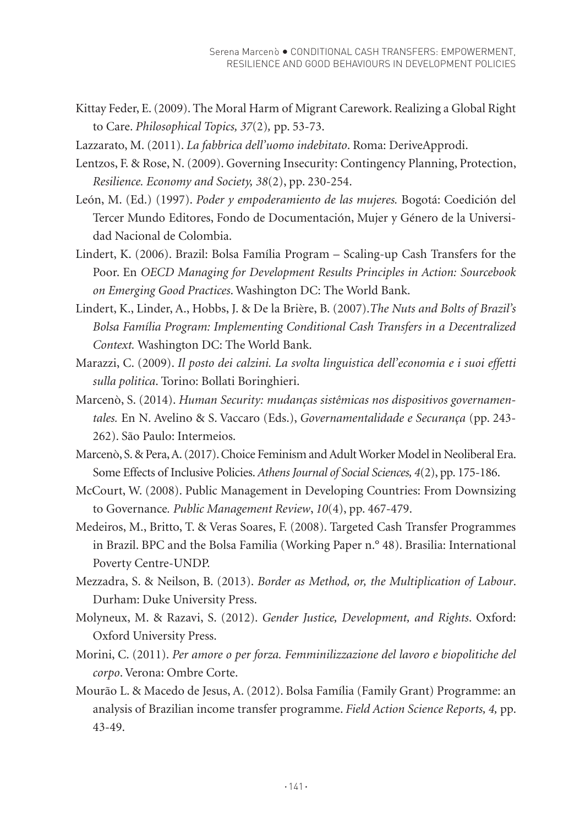- Kittay Feder, E. (2009). The Moral Harm of Migrant Carework. Realizing a Global Right to Care. *Philosophical Topics, 37*(2)*,* pp. 53-73.
- Lazzarato, M. (2011). *La fabbrica dell'uomo indebitato*. Roma: DeriveApprodi.
- Lentzos, F. & Rose, N. (2009). Governing Insecurity: Contingency Planning, Protection, *Resilience. Economy and Society, 38*(2), pp. 230-254.
- León, M. (Ed.) (1997). *Poder y empoderamiento de las mujeres.* Bogotá: Coedición del Tercer Mundo Editores, Fondo de Documentación, Mujer y Género de la Universidad Nacional de Colombia.
- Lindert, K. (2006). Brazil: Bolsa Família Program Scaling-up Cash Transfers for the Poor. En *OECD Managing for Development Results Principles in Action: Sourcebook on Emerging Good Practices*. Washington DC: The World Bank.
- Lindert, K., Linder, A., Hobbs, J. & De la Brière, B. (2007).*The Nuts and Bolts of Brazil's Bolsa Família Program: Implementing Conditional Cash Transfers in a Decentralized Context.* Washington DC: The World Bank.
- Marazzi, C. (2009). *Il posto dei calzini. La svolta linguistica dell'economia e i suoi effetti sulla politica*. Torino: Bollati Boringhieri.
- Marcenò, S. (2014). *Human Security: mudanças sistêmicas nos dispositivos governamentales.* En N. Avelino & S. Vaccaro (Eds.), *Governamentalidade e Securança* (pp. 243- 262). São Paulo: Intermeios.
- Marcenò, S. & Pera, A. (2017). Choice Feminism and Adult Worker Model in Neoliberal Era. Some Effects of Inclusive Policies. *Athens Journal of Social Sciences, 4*(2), pp. 175-186.
- McCourt, W. (2008). Public Management in Developing Countries: From Downsizing to Governance*. Public Management Review*, *10*(4), pp. 467-479.
- Medeiros, M., Britto, T. & Veras Soares, F. (2008). Targeted Cash Transfer Programmes in Brazil. BPC and the Bolsa Familia (Working Paper n.° 48). Brasilia: International Poverty Centre-UNDP.
- Mezzadra, S. & Neilson, B. (2013). *Border as Method, or, the Multiplication of Labour*. Durham: Duke University Press.
- Molyneux, M. & Razavi, S. (2012). *Gender Justice, Development, and Rights*. Oxford: Oxford University Press.
- Morini, C. (2011). *Per amore o per forza. Femminilizzazione del lavoro e biopolitiche del corpo*. Verona: Ombre Corte.
- Mourão L. & Macedo de Jesus, A. (2012). Bolsa Família (Family Grant) Programme: an analysis of Brazilian income transfer programme. *Field Action Science Reports, 4,* pp. 43-49.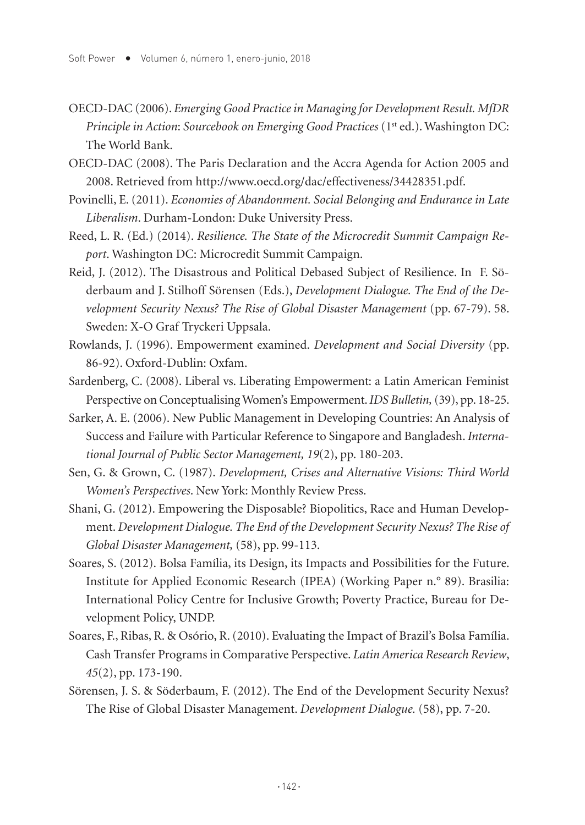- OECD-DAC (2006). *Emerging Good Practice in Managing for Development Result. MfDR Principle in Action: Sourcebook on Emerging Good Practices* (1st ed.). Washington DC: The World Bank.
- OECD-DAC (2008). The Paris Declaration and the Accra Agenda for Action 2005 and 2008. Retrieved from http://www.oecd.org/dac/effectiveness/34428351.pdf.
- Povinelli, E. (2011). *Economies of Abandonment. Social Belonging and Endurance in Late Liberalism*. Durham-London: Duke University Press.
- Reed, L. R. (Ed.) (2014). *Resilience. The State of the Microcredit Summit Campaign Report*. Washington DC: Microcredit Summit Campaign.
- Reid, J. (2012). The Disastrous and Political Debased Subject of Resilience. In F. Söderbaum and J. Stilhoff Sörensen (Eds.), *Development Dialogue. The End of the Development Security Nexus? The Rise of Global Disaster Management* (pp. 67-79). 58. Sweden: X-O Graf Tryckeri Uppsala.
- Rowlands, J. (1996). Empowerment examined. *Development and Social Diversity* (pp. 86-92). Oxford-Dublin: Oxfam.
- Sardenberg, C. (2008). Liberal vs. Liberating Empowerment: a Latin American Feminist Perspective on Conceptualising Women's Empowerment. *IDS Bulletin,* (39), pp. 18-25.
- Sarker, A. E. (2006). New Public Management in Developing Countries: An Analysis of Success and Failure with Particular Reference to Singapore and Bangladesh. *International Journal of Public Sector Management, 19*(2), pp. 180-203.
- Sen, G. & Grown, C. (1987). *Development, Crises and Alternative Visions: Third World Women's Perspectives*. New York: Monthly Review Press.
- Shani, G. (2012). Empowering the Disposable? Biopolitics, Race and Human Development. *Development Dialogue. The End of the Development Security Nexus? The Rise of Global Disaster Management,* (58), pp. 99-113.
- Soares, S. (2012). Bolsa Família, its Design, its Impacts and Possibilities for the Future. Institute for Applied Economic Research (IPEA) (Working Paper n.° 89). Brasilia: International Policy Centre for Inclusive Growth; Poverty Practice, Bureau for Development Policy, UNDP.
- Soares, F., Ribas, R. & Osório, R. (2010). Evaluating the Impact of Brazil's Bolsa Família. Cash Transfer Programs in Comparative Perspective. *Latin America Research Review*, *45*(2), pp. 173-190.
- Sörensen, J. S. & Söderbaum, F. (2012). The End of the Development Security Nexus? The Rise of Global Disaster Management. *Development Dialogue.* (58), pp. 7-20.